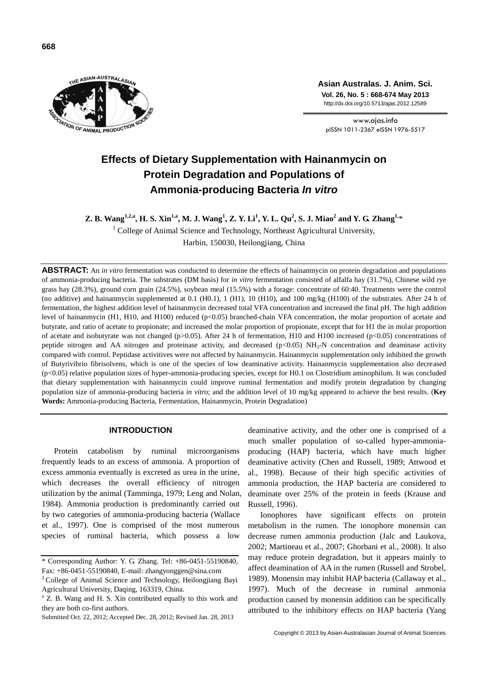

**Asian Australas. J. Anim. Sci. Vol. 26, No. 5 : 668-674 May 2013** http://dx.doi.org/10.5713/ajas.2012.12589

www.ajas.info pISSN 1011-2367 eISSN 1976-5517

# **Effects of Dietary Supplementation with Hainanmycin on Protein Degradation and Populations of Ammonia-producing Bacteria** *In vitro*

Z. B. Wang<sup>1,2,a</sup>, H. S. Xin<sup>1,a</sup>, M. J. Wang<sup>1</sup>, Z. Y. Li<sup>1</sup>, Y. L. Qu<sup>2</sup>, S. J. Miao<sup>2</sup> and Y. G. Zhang<sup>1,</sup>\*

 $1$  College of Animal Science and Technology, Northeast Agricultural University, Harbin, 150030, Heilongjiang, China

**ABSTRACT:** An *in vitro* fermentation was conducted to determine the effects of hainanmycin on protein degradation and populations of ammonia-producing bacteria. The substrates (DM basis) for *in vitro* fermentation consisted of alfalfa hay (31.7%), Chinese wild rye grass hay (28.3%), ground corn grain (24.5%), soybean meal (15.5%) with a forage: concentrate of 60:40. Treatments were the control (no additive) and hainanmycin supplemented at 0.1 (H0.1), 1 (H1), 10 (H10), and 100 mg/kg (H100) of the substrates. After 24 h of fermentation, the highest addition level of hainanmycin decreased total VFA concentration and increased the final pH. The high addition level of hainanmycin (H1, H10, and H100) reduced (p<0.05) branched-chain VFA concentration, the molar proportion of acetate and butyrate, and ratio of acetate to propionate; and increased the molar proportion of propionate, except that for H1 the in molar proportion of acetate and isobutyrate was not changed (p $>0.05$ ). After 24 h of fermentation, H10 and H100 increased (p $< 0.05$ ) concentrations of peptide nitrogen and AA nitrogen and proteinase activity, and decreased  $(p<0.05)$  NH<sub>3</sub>-N concentration and deaminase activity compared with control. Peptidase activitives were not affected by hainanmycin. Hainanmycin supplementation only inhibited the growth of Butyrivibrio fibrisolvens, which is one of the species of low deaminative activity. Hainanmycin supplementation also decreased (p<0.05) relative population sizes of hyper-ammonia-producing species, except for H0.1 on Clostridium aminophilum. It was concluded that dietary supplementation with hainanmycin could improve ruminal fermentation and modify protein degradation by changing population size of ammonia-producing bacteria *in vitro*; and the addition level of 10 mg/kg appeared to achieve the best results. (**Key Words:** Ammonia-producing Bacteria, Fermentation, Hainanmycin, Protein Degradation)

# **INTRODUCTION**

Protein catabolism by ruminal microorganisms frequently leads to an excess of ammonia. A proportion of excess ammonia eventually is excreted as urea in the urine, which decreases the overall efficiency of nitrogen utilization by the animal (Tamminga, 1979; Leng and Nolan, 1984). Ammonia production is predominantly carried out by two categories of ammonia-producing bacteria (Wallace et al., 1997). One is comprised of the most numerous species of ruminal bacteria, which possess a low

deaminative activity, and the other one is comprised of a much smaller population of so-called hyper-ammoniaproducing (HAP) bacteria, which have much higher deaminative activity (Chen and Russell, 1989; Attwood et al., 1998). Because of their high specific activities of ammonia production, the HAP bacteria are considered to deaminate over 25% of the protein in feeds (Krause and Russell, 1996).

Ionophores have significant effects on protein metabolism in the rumen. The ionophore monensin can decrease rumen ammonia production (Jalc and Laukova, 2002; Martineau et al., 2007; Ghorbani et al., 2008). It also may reduce protein degradation, but it appears mainly to affect deamination of AA in the rumen (Russell and Strobel, 1989). Monensin may inhibit HAP bacteria (Callaway et al., 1997). Much of the decrease in ruminal ammonia production caused by monensin addition can be specifically attributed to the inhibitory effects on HAP bacteria (Yang

<sup>\*</sup> Corresponding Author: Y. G. Zhang. Tel: +86-0451-55190840, Fax: +86-0451-55190840, E-mail: zhangyonggen@sina.com

 $2^2$ College of Animal Science and Technology, Heilongjiang Bayi Agricultural University, Daqing, 163319, China.

<sup>&</sup>lt;sup>a</sup> Z. B. Wang and H. S. Xin contributed equally to this work and they are both co-first authors.

Submitted Oct. 22, 2012; Accepted Dec. 28, 2012; Revised Jan. 28, 2013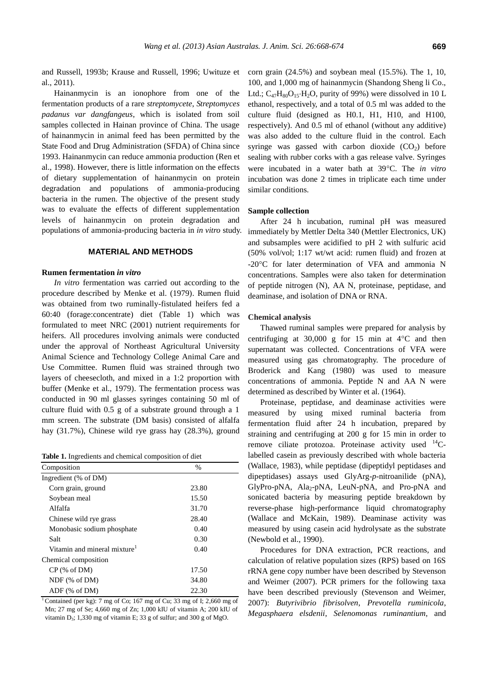and Russell, 1993b; Krause and Russell, 1996; Uwituze et al., 2011).

Hainanmycin is an ionophore from one of the fermentation products of a rare *streptomycete*, *Streptomyces padanus var dangfangeus*, which is isolated from soil samples collected in Hainan province of China. The usage of hainanmycin in animal feed has been permitted by the State Food and Drug Administration (SFDA) of China since 1993. Hainanmycin can reduce ammonia production (Ren et al., 1998). However, there is little information on the effects of dietary supplementation of hainanmycin on protein degradation and populations of ammonia-producing bacteria in the rumen. The objective of the present study was to evaluate the effects of different supplementation levels of hainanmycin on protein degradation and populations of ammonia-producing bacteria in *in vitro* study.

# **MATERIAL AND METHODS**

# **Rumen fermentation** *in vitro*

*In vitro* fermentation was carried out according to the procedure described by Menke et al. (1979). Rumen fluid was obtained from two ruminally-fistulated heifers fed a 60:40 (forage:concentrate) diet (Table 1) which was formulated to meet NRC (2001) nutrient requirements for heifers. All procedures involving animals were conducted under the approval of Northeast Agricultural University Animal Science and Technology College Animal Care and Use Committee. Rumen fluid was strained through two layers of cheesecloth, and mixed in a 1:2 proportion with buffer (Menke et al., 1979). The fermentation process was conducted in 90 ml glasses syringes containing 50 ml of culture fluid with 0.5 g of a substrate ground through a 1 mm screen. The substrate (DM basis) consisted of alfalfa hay (31.7%), Chinese wild rye grass hay (28.3%), ground

**Table 1.** Ingredients and chemical composition of diet

| Composition                              | $\frac{0}{0}$ |  |
|------------------------------------------|---------------|--|
| Ingredient (% of DM)                     |               |  |
| Corn grain, ground                       | 23.80         |  |
| Soybean meal                             | 15.50         |  |
| Alfalfa                                  | 31.70         |  |
| Chinese wild rye grass                   | 28.40         |  |
| Monobasic sodium phosphate               | 0.40          |  |
| Salt                                     | 0.30          |  |
| Vitamin and mineral mixture <sup>1</sup> | 0.40          |  |
| Chemical composition                     |               |  |
| $CP$ (% of DM)                           | 17.50         |  |
| $NDF$ (% of DM)                          | 34.80         |  |
| $ADF$ (% of $DM$ )                       | 22.30         |  |

<sup>1</sup> Contained (per kg): 7 mg of Co; 167 mg of Cu; 33 mg of I; 2,660 mg of Mn; 27 mg of Se; 4,660 mg of Zn; 1,000 kIU of vitamin A; 200 kIU of vitamin D3; 1,330 mg of vitamin E; 33 g of sulfur; and 300 g of MgO.

corn grain (24.5%) and soybean meal (15.5%). The 1, 10, 100, and 1,000 mg of hainanmycin (Shandong Sheng li Co., Ltd.;  $C_{47}H_{80}O_{15}H_2O$ , purity of 99%) were dissolved in 10 L ethanol, respectively, and a total of 0.5 ml was added to the culture fluid (designed as H0.1, H1, H10, and H100, respectively). And 0.5 ml of ethanol (without any additive) was also added to the culture fluid in the control. Each syringe was gassed with carbon dioxide  $(CO<sub>2</sub>)$  before sealing with rubber corks with a gas release valve. Syringes were incubated in a water bath at 39°C. The *in vitro* incubation was done 2 times in triplicate each time under similar conditions.

## **Sample collection**

After 24 h incubation, ruminal pH was measured immediately by Mettler Delta 340 (Mettler Electronics, UK) and subsamples were acidified to pH 2 with sulfuric acid (50% vol/vol; 1:17 wt/wt acid: rumen fluid) and frozen at -20°C for later determination of VFA and ammonia N concentrations. Samples were also taken for determination of peptide nitrogen (N), AA N, proteinase, peptidase, and deaminase, and isolation of DNA or RNA.

#### **Chemical analysis**

Thawed ruminal samples were prepared for analysis by centrifuging at  $30,000$  g for 15 min at  $4^{\circ}$ C and then supernatant was collected. Concentrations of VFA were measured using gas chromatography. The procedure of Broderick and Kang (1980) was used to measure concentrations of ammonia. Peptide N and AA N were determined as described by Winter et al. (1964).

Proteinase, peptidase, and deaminase activities were measured by using mixed ruminal bacteria from fermentation fluid after 24 h incubation, prepared by straining and centrifuging at 200 g for 15 min in order to remove ciliate protozoa. Proteinase activity used <sup>14</sup>Clabelled casein as previously described with whole bacteria (Wallace, 1983), while peptidase (dipeptidyl peptidases and dipeptidases) assays used GlyArg-*p*-nitroanilide (pNA), GlyPro-pNA, Ala<sub>2</sub>-pNA, LeuN-pNA, and Pro-pNA and sonicated bacteria by measuring peptide breakdown by reverse-phase high-performance liquid chromatography (Wallace and McKain, 1989). Deaminase activity was measured by using casein acid hydrolysate as the substrate (Newbold et al., 1990).

Procedures for DNA extraction, PCR reactions, and calculation of relative population sizes (RPS) based on 16S rRNA gene copy number have been described by Stevenson and Weimer (2007). PCR primers for the following taxa have been described previously (Stevenson and Weimer, 2007): *Butyrivibrio fibrisolven*, *Prevotella ruminicola*, *Megasphaera elsdenii*, *Selenomonas ruminantium*, and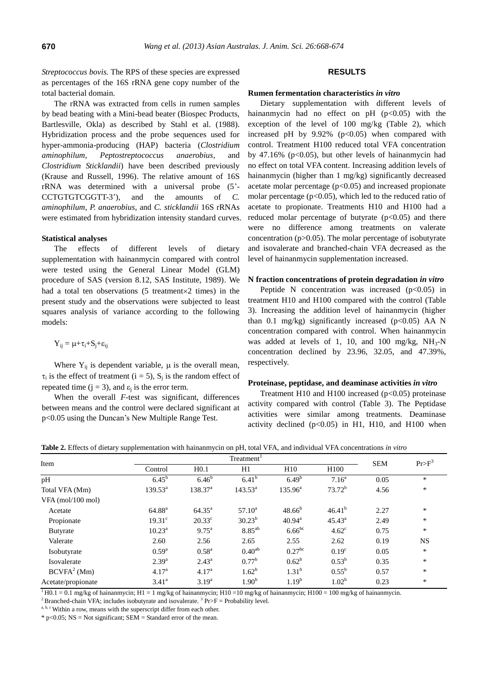*Streptococcus bovis.* The RPS of these species are expressed as percentages of the 16S rRNA gene copy number of the total bacterial domain.

The rRNA was extracted from cells in rumen samples by bead beating with a Mini-bead beater (Biospec Products, Bartlesville, Okla) as described by Stahl et al. (1988). Hybridization process and the probe sequences used for hyper-ammonia-producing (HAP) bacteria (*Clostridium aminophilum*, *Peptostreptococcus anaerobius*, and *Clostridium Sticklandii*) have been described previously (Krause and Russell, 1996). The relative amount of 16S rRNA was determined with a universal probe (5'- CCTGTGTCGGTT-3'), and the amounts of *C. aminophilum*, *P. anaerobius*, and *C. sticklandii* 16S rRNAs were estimated from hybridization intensity standard curves.

#### **Statistical analyses**

The effects of different levels of dietary supplementation with hainanmycin compared with control were tested using the General Linear Model (GLM) procedure of SAS (version 8.12, SAS Institute, 1989). We had a total ten observations  $(5$  treatment $\times 2$  times) in the present study and the observations were subjected to least squares analysis of variance according to the following models:

$$
Y_{ij} = \mu + \tau_i + S_j + \epsilon_{ij}
$$

Where  $Y_{ii}$  is dependent variable,  $\mu$  is the overall mean,  $\tau_i$  is the effect of treatment (i = 5), S<sub>j</sub> is the random effect of repeated time ( $j = 3$ ), and  $\varepsilon_j$  is the error term.

When the overall *F*-test was significant, differences between means and the control were declared significant at p<0.05 using the Duncan's New Multiple Range Test.

# **RESULTS**

## **Rumen fermentation characteristics** *in vitro*

Dietary supplementation with different levels of hainanmycin had no effect on  $pH$  ( $p<0.05$ ) with the exception of the level of 100 mg/kg (Table 2), which increased pH by  $9.92\%$  ( $p<0.05$ ) when compared with control. Treatment H100 reduced total VFA concentration by 47.16% ( $p<0.05$ ), but other levels of hainanmycin had no effect on total VFA content. Increasing addition levels of hainanmycin (higher than 1 mg/kg) significantly decreased acetate molar percentage  $(p<0.05)$  and increased propionate molar percentage  $(p<0.05)$ , which led to the reduced ratio of acetate to propionate. Treatments H10 and H100 had a reduced molar percentage of butyrate  $(p<0.05)$  and there were no difference among treatments on valerate concentration ( $p > 0.05$ ). The molar percentage of isobutyrate and isovalerate and branched-chain VFA decreased as the level of hainanmycin supplementation increased.

#### **N fraction concentrations of protein degradation** *in vitro*

Peptide N concentration was increased  $(p<0.05)$  in treatment H10 and H100 compared with the control (Table 3). Increasing the addition level of hainanmycin (higher than 0.1 mg/kg) significantly increased ( $p<0.05$ ) AA N concentration compared with control. When hainanmycin was added at levels of 1, 10, and 100 mg/kg,  $NH<sub>3</sub>-N$ concentration declined by 23.96, 32.05, and 47.39%, respectively.

#### **Proteinase, peptidase, and deaminase activities** *in vitro*

Treatment H10 and H100 increased  $(p<0.05)$  proteinase activity compared with control (Table 3). The Peptidase activities were similar among treatments. Deaminase activity declined  $(p<0.05)$  in H1, H10, and H100 when

**Table 2.** Effects of dietary supplementation with hainanmycin on pH, total VFA, and individual VFA concentrations *in vitro*

| Item                    |                    | Treatment <sup>1</sup> |                   |                      |                   |            |           |
|-------------------------|--------------------|------------------------|-------------------|----------------------|-------------------|------------|-----------|
|                         | Control            | H <sub>0.1</sub>       | H1                | H10                  | H100              | <b>SEM</b> | $Pr>F^3$  |
| pH                      | $6.45^{b}$         | $6.46^{b}$             | $6.41^{b}$        | $6.49^{b}$           | 7.16 <sup>a</sup> | 0.05       | *         |
| Total VFA (Mm)          | $139.53^a$         | 138.37 <sup>a</sup>    | $143.53^{\rm a}$  | $135.96^{\rm a}$     | $73.72^b$         | 4.56       | *         |
| $VFA$ (mol/100 mol)     |                    |                        |                   |                      |                   |            |           |
| Acetate                 | $64.88^{a}$        | $64.35^{\rm a}$        | $57.10^a$         | $48.66^{b}$          | $46.41^{b}$       | 2.27       | $\ast$    |
| Propionate              | $19.31^{\circ}$    | $20.33^{\circ}$        | $30.23^{b}$       | $40.94^{\text{a}}$   | $45.43^{\circ}$   | 2.49       | $\ast$    |
| <b>Butyrate</b>         | $10.23^{\text{a}}$ | $9.75^{\text{a}}$      | $8.85^{ab}$       | $6.66^{bc}$          | $4.62^{\circ}$    | 0.75       | *         |
| Valerate                | 2.60               | 2.56                   | 2.65              | 2.55                 | 2.62              | 0.19       | <b>NS</b> |
| Isobutyrate             | $0.59^{a}$         | $0.58^{\rm a}$         | $0.40^{ab}$       | $0.27$ <sup>bc</sup> | 0.19 <sup>c</sup> | 0.05       | *         |
| Isovalerate             | $2.39^{a}$         | $2.43^{\rm a}$         | $0.77^{\rm b}$    | $0.62^{\rm b}$       | $0.53^{\rm b}$    | 0.35       | *         |
| BCVFA <sup>2</sup> (Mm) | 4.17 <sup>a</sup>  | 4.17 <sup>a</sup>      | $1.62^{\rm b}$    | $1.31^{b}$           | $0.55^{\rm b}$    | 0.57       | $\ast$    |
| Acetate/propionate      | 3.41 <sup>a</sup>  | $3.19^{a}$             | 1.90 <sup>b</sup> | $1.19^{b}$           | $1.02^b$          | 0.23       | *         |

 $1\overline{H}$  H0.1 = 0.1 mg/kg of hainanmycin; H1 = 1 mg/kg of hainanmycin; H10 = 10 mg/kg of hainanmycin; H100 = 100 mg/kg of hainanmycin.

<sup>2</sup> Branched-chain VFA; includes isobutyrate and isovalerate. <sup>3</sup> Pr>F = Probability level.

 $a, b, c$  Within a row, means with the superscript differ from each other.

 $*$  p<0.05; NS = Not significant; SEM = Standard error of the mean.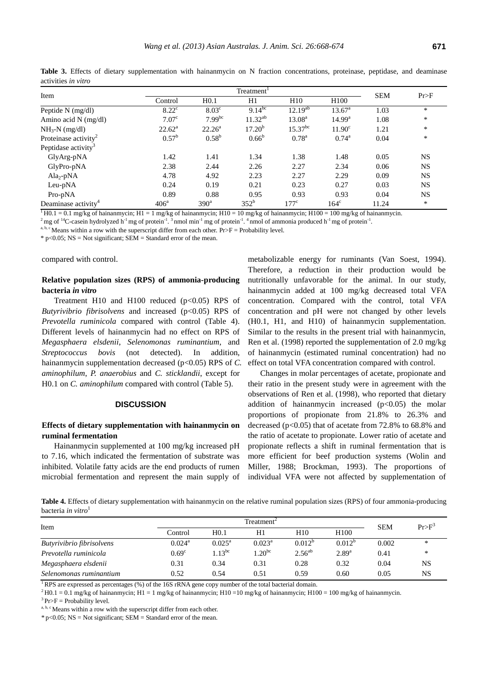| Item                             | Treatment <sup>1</sup> |                  |                    |                    |                    |            | Pr>F      |
|----------------------------------|------------------------|------------------|--------------------|--------------------|--------------------|------------|-----------|
|                                  | Control                | H <sub>0.1</sub> | H1                 | H10                | H100               | <b>SEM</b> |           |
| Peptide $N$ (mg/dl)              | $8.22^{\circ}$         | $8.03^{\circ}$   | $9.14^{bc}$        | $12.19^{ab}$       | $13.67^{\circ}$    | 1.03       | *         |
| Amino acid $N$ (mg/dl)           | 7.07 <sup>c</sup>      | $7.99^{bc}$      | $11.32^{ab}$       | 13.08 <sup>a</sup> | 14.99 <sup>a</sup> | 1.08       | *         |
| $NH_3-N$ (mg/dl)                 | $22.62^{\rm a}$        | $22.26^{\rm a}$  | 17.20 <sup>b</sup> | $15.37^{bc}$       | 11.90 <sup>c</sup> | 1.21       | *         |
| Proteinase activity <sup>2</sup> | $0.57^{\rm b}$         | $0.58^{b}$       | $0.66^{\rm b}$     | $0.78^{\rm a}$     | $0.74^{\rm a}$     | 0.04       | *         |
| Peptidase activity <sup>3</sup>  |                        |                  |                    |                    |                    |            |           |
| GlyArg-pNA                       | 1.42                   | 1.41             | 1.34               | 1.38               | 1.48               | 0.05       | <b>NS</b> |
| GlyPro-pNA                       | 2.38                   | 2.44             | 2.26               | 2.27               | 2.34               | 0.06       | <b>NS</b> |
| $Ala2-pNA$                       | 4.78                   | 4.92             | 2.23               | 2.27               | 2.29               | 0.09       | <b>NS</b> |
| Leu-pNA                          | 0.24                   | 0.19             | 0.21               | 0.23               | 0.27               | 0.03       | <b>NS</b> |
| Pro-pNA                          | 0.89                   | 0.88             | 0.95               | 0.93               | 0.93               | 0.04       | <b>NS</b> |
| Deaminase activity <sup>4</sup>  | 406 <sup>a</sup>       | 390 <sup>a</sup> | 352 <sup>b</sup>   | $177^{\circ}$      | $164^\circ$        | 11.24      | *         |

Table 3. Effects of dietary supplementation with hainanmycin on N fraction concentrations, proteinase, peptidase, and deaminase activities *in vitro*

 $1\,\text{H}0.1 = 0.1$  mg/kg of hainanmycin; H1 = 1 mg/kg of hainanmycin; H10 = 10 mg/kg of hainanmycin; H100 = 100 mg/kg of hainanmycin.

<sup>2</sup> mg of <sup>14</sup>C-casein hydrolyzed h<sup>-1</sup> mg of protein<sup>-1</sup>. <sup>3</sup> nmol min<sup>-1</sup> mg of protein<sup>-1</sup>. <sup>4</sup> nmol of ammonia produced h<sup>-1</sup> mg of protein<sup>-1</sup>.

a, b, c Means within a row with the superscript differ from each other.  $Pr > F =$  Probability level.

 $*$  p<0.05; NS = Not significant; SEM = Standard error of the mean.

compared with control.

# **Relative population sizes (RPS) of ammonia-producing bacteria** *in vitro*

Treatment H10 and H100 reduced  $(p<0.05)$  RPS of *Butyrivibrio fibrisolvens* and increased (p<0.05) RPS of *Prevotella ruminicola* compared with control (Table 4). Different levels of hainanmycin had no effect on RPS of *Megasphaera elsdenii*, *Selenomonas ruminantium*, and *Streptococcus bovis* (not detected). In addition, hainanmycin supplementation decreased (p<0.05) RPS of *C*. *aminophilum*, *P. anaerobius* and *C. sticklandii*, except for H0.1 on *C. aminophilum* compared with control (Table 5).

#### **DISCUSSION**

# **Effects of dietary supplementation with hainanmycin on ruminal fermentation**

Hainanmycin supplemented at 100 mg/kg increased pH to 7.16, which indicated the fermentation of substrate was inhibited. Volatile fatty acids are the end products of rumen microbial fermentation and represent the main supply of metabolizable energy for ruminants (Van Soest, 1994). Therefore, a reduction in their production would be nutritionally unfavorable for the animal. In our study, hainanmycin added at 100 mg/kg decreased total VFA concentration. Compared with the control, total VFA concentration and pH were not changed by other levels (H0.1, H1, and H10) of hainanmycin supplementation. Similar to the results in the present trial with hainanmycin, Ren et al. (1998) reported the supplementation of 2.0 mg/kg of hainanmycin (estimated ruminal concentration) had no effect on total VFA concentration compared with control.

Changes in molar percentages of acetate, propionate and their ratio in the present study were in agreement with the observations of Ren et al. (1998), who reported that dietary addition of hainanmycin increased  $(p<0.05)$  the molar proportions of propionate from 21.8% to 26.3% and decreased ( $p<0.05$ ) that of acetate from 72.8% to 68.8% and the ratio of acetate to propionate. Lower ratio of acetate and propionate reflects a shift in ruminal fermentation that is more efficient for beef production systems (Wolin and Miller, 1988; Brockman, 1993). The proportions of individual VFA were not affected by supplementation of

**Table 4.** Effects of dietary supplementation with hainanmycin on the relative ruminal population sizes (RPS) of four ammonia-producing bacteria *in vitro*<sup>1</sup>

| Item                      | Treatment $^\circ$ |                  |                 |             |                  | <b>SEM</b> | $Pr>E^3$ |
|---------------------------|--------------------|------------------|-----------------|-------------|------------------|------------|----------|
|                           | Control            | H <sub>0.1</sub> | H1              | H10         | H <sub>100</sub> |            |          |
| Butyrivibrio fibrisolvens | $0.024^{\rm a}$    | $0.025^{\rm a}$  | $0.023^{\rm a}$ | $0.012^{b}$ | $0.012^{b}$      | 0.002      | *        |
| Prevotella ruminicola     | 0.69 <sup>c</sup>  | $1.13^{bc}$      | $.20^{bc}$      | $2.56^{ab}$ | $2.89^{a}$       | 0.41       | *        |
| Megasphaera elsdenii      | 0.31               | 0.34             | 0.31            | 0.28        | 0.32             | 0.04       | NS       |
| Selenomonas ruminantium   | 0.52               | 0.54             | 0.51            | 0.59        | 0.60             | 0.05       | NS       |

<sup>1</sup>RPS are expressed as percentages (%) of the 16S rRNA gene copy number of the total bacterial domain.

 $^{2}$ H0.1 = 0.1 mg/kg of hainanmycin; H1 = 1 mg/kg of hainanmycin; H10 = 10 mg/kg of hainanmycin; H100 = 100 mg/kg of hainanmycin.

 $3$  Pr>F = Probability level.

a, b, c Means within a row with the superscript differ from each other.

 $*$  p<0.05; NS = Not significant; SEM = Standard error of the mean.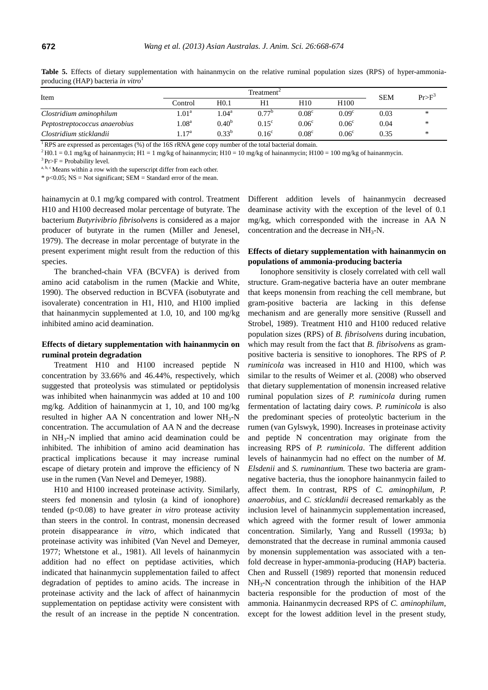| Item                          |                          | Treatment <sup>2</sup> |                   |                   |                   |            | $Pr>F^3$ |
|-------------------------------|--------------------------|------------------------|-------------------|-------------------|-------------------|------------|----------|
|                               | Control                  | H <sub>0.1</sub>       |                   | H10               | H <sub>100</sub>  | <b>SEM</b> |          |
| Clostridium aminophilum       | $1.01^{\rm a}$           | 1.04 <sup>a</sup>      | $0.77^{\circ}$    | 0.08 <sup>c</sup> | 0.09 <sup>c</sup> | 0.03       | $\ast$   |
| Peptostreptococcus anaerobius | 1.08 <sup>a</sup>        | $0.40^{b}$             | $0.15^{\circ}$    | 0.06 <sup>c</sup> | 0.06 <sup>c</sup> | 0.04       | ∗        |
| Clostridium sticklandii       | $\ldots$ 17 <sup>a</sup> | $0.33^{b}$             | 0.16 <sup>c</sup> | 0.08 <sup>c</sup> | 0.06 <sup>c</sup> | 0.35       | ∗        |

Table 5. Effects of dietary supplementation with hainanmycin on the relative ruminal population sizes (RPS) of hyper-ammoniaproducing (HAP) bacteria *in vitro*<sup>1</sup>

<sup>1</sup>RPS are expressed as percentages (%) of the 16S rRNA gene copy number of the total bacterial domain.

 $^{2}$  H0.1 = 0.1 mg/kg of hainanmycin; H1 = 1 mg/kg of hainanmycin; H10 = 10 mg/kg of hainanmycin; H100 = 100 mg/kg of hainanmycin.

 $3$  Pr>F = Probability level.

a, b, c Means within a row with the superscript differ from each other.

 $*$  p<0.05; NS = Not significant; SEM = Standard error of the mean.

hainamycin at 0.1 mg/kg compared with control. Treatment H10 and H100 decreased molar percentage of butyrate. The bacterium *Butyrivibrio fibrisolvens* is considered as a major producer of butyrate in the rumen (Miller and Jenesel, 1979). The decrease in molar percentage of butyrate in the present experiment might result from the reduction of this species.

The branched-chain VFA (BCVFA) is derived from amino acid catabolism in the rumen (Mackie and White, 1990). The observed reduction in BCVFA (isobutyrate and isovalerate) concentration in H1, H10, and H100 implied that hainanmycin supplemented at 1.0, 10, and 100 mg/kg inhibited amino acid deamination.

# **Effects of dietary supplementation with hainanmycin on ruminal protein degradation**

Treatment H10 and H100 increased peptide N concentration by 33.66% and 46.44%, respectively, which suggested that proteolysis was stimulated or peptidolysis was inhibited when hainanmycin was added at 10 and 100 mg/kg. Addition of hainanmycin at 1, 10, and 100 mg/kg resulted in higher AA N concentration and lower  $NH<sub>3</sub>-N$ concentration. The accumulation of AA N and the decrease in  $NH<sub>3</sub>-N$  implied that amino acid deamination could be inhibited. The inhibition of amino acid deamination has practical implications because it may increase ruminal escape of dietary protein and improve the efficiency of N use in the rumen (Van Nevel and Demeyer, 1988).

H10 and H100 increased proteinase activity. Similarly, steers fed monensin and tylosin (a kind of ionophore) tended (p<0.08) to have greater *in vitro* protease activity than steers in the control. In contrast, monensin decreased protein disappearance *in vitro*, which indicated that proteinase activity was inhibited (Van Nevel and Demeyer, 1977; Whetstone et al., 1981). All levels of hainanmycin addition had no effect on peptidase activities, which indicated that hainanmycin supplementation failed to affect degradation of peptides to amino acids. The increase in proteinase activity and the lack of affect of hainanmycin supplementation on peptidase activity were consistent with the result of an increase in the peptide N concentration.

Different addition levels of hainanmycin decreased deaminase activity with the exception of the level of 0.1 mg/kg, which corresponded with the increase in AA N concentration and the decrease in  $NH<sub>3</sub>-N$ .

# **Effects of dietary supplementation with hainanmycin on populations of ammonia-producing bacteria**

Ionophore sensitivity is closely correlated with cell wall structure. Gram-negative bacteria have an outer membrane that keeps monensin from reaching the cell membrane, but gram-positive bacteria are lacking in this defense mechanism and are generally more sensitive (Russell and Strobel, 1989). Treatment H10 and H100 reduced relative population sizes (RPS) of *B. fibrisolvens* during incubation, which may result from the fact that *B. fibrisolvens* as grampositive bacteria is sensitive to ionophores. The RPS of *P. ruminicola* was increased in H10 and H100, which was similar to the results of Weimer et al. (2008) who observed that dietary supplementation of monensin increased relative ruminal population sizes of *P. ruminicola* during rumen fermentation of lactating dairy cows. *P. ruminicola* is also the predominant species of proteolytic bacterium in the rumen (van Gylswyk, 1990). Increases in proteinase activity and peptide N concentration may originate from the increasing RPS of *P. ruminicola*. The different addition levels of hainanmycin had no effect on the number of *M. Elsdenii* and *S. ruminantium.* These two bacteria are gramnegative bacteria, thus the ionophore hainanmycin failed to affect them. In contrast, RPS of *C. aminophilum*, *P. anaerobius*, and *C. sticklandii* decreased remarkably as the inclusion level of hainanmycin supplementation increased, which agreed with the former result of lower ammonia concentration. Similarly, Yang and Russell (1993a; b) demonstrated that the decrease in ruminal ammonia caused by monensin supplementation was associated with a tenfold decrease in hyper-ammonia-producing (HAP) bacteria. Chen and Russell (1989) reported that monensin reduced  $NH<sub>3</sub>-N$  concentration through the inhibition of the HAP bacteria responsible for the production of most of the ammonia. Hainanmycin decreased RPS of *C. aminophilum*, except for the lowest addition level in the present study,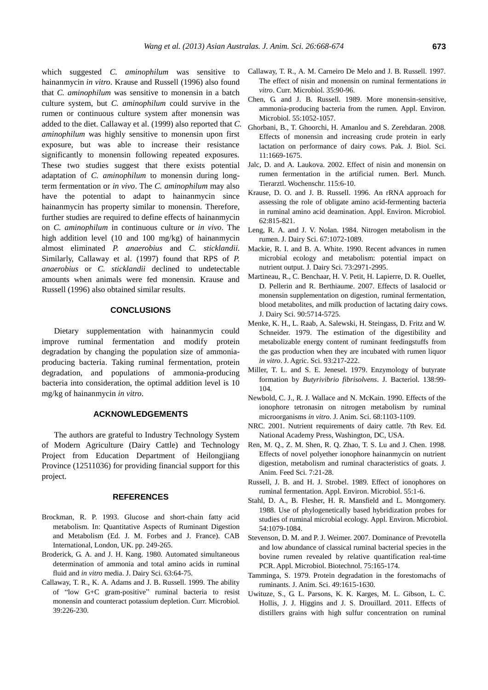which suggested *C. aminophilum* was sensitive to hainanmycin *in vitro*. Krause and Russell (1996) also found that *C. aminophilum* was sensitive to monensin in a batch culture system, but *C. aminophilum* could survive in the rumen or continuous culture system after monensin was added to the diet. Callaway et al. (1999) also reported that *C. aminophilum* was highly sensitive to monensin upon first exposure, but was able to increase their resistance significantly to monensin following repeated exposures. These two studies suggest that there exists potential adaptation of *C. aminophilum* to monensin during longterm fermentation or *in vivo*. The *C. aminophilum* may also have the potential to adapt to hainanmycin since hainanmycin has property similar to monensin. Therefore, further studies are required to define effects of hainanmycin on *C. aminophilum* in continuous culture or *in vivo*. The high addition level (10 and 100 mg/kg) of hainanmycin almost eliminated *P. anaerobius* and *C. sticklandii*. Similarly, Callaway et al. (1997) found that RPS of *P. anaerobius* or *C. sticklandii* declined to undetectable amounts when animals were fed monensin. Krause and Russell (1996) also obtained similar results.

# **CONCLUSIONS**

Dietary supplementation with hainanmycin could improve ruminal fermentation and modify protein degradation by changing the population size of ammoniaproducing bacteria. Taking ruminal fermentation, protein degradation, and populations of ammonia-producing bacteria into consideration, the optimal addition level is 10 mg/kg of hainanmycin *in vitro*.

# **ACKNOWLEDGEMENTS**

The authors are grateful to Industry Technology System of Modern Agriculture (Dairy Cattle) and Technology Project from Education Department of Heilongjiang Province (12511036) for providing financial support for this project.

# **REFERENCES**

- Brockman, R. P. 1993. Glucose and short-chain fatty acid metabolism. In: Quantitative Aspects of Ruminant Digestion and Metabolism (Ed. J. M. Forbes and J. France). CAB International, London, UK. pp. 249-265.
- Broderick, G. A. and J. H. Kang. 1980. Automated simultaneous determination of ammonia and total amino acids in ruminal fluid and *in vitro* media. J. Dairy Sci. 63:64-75.
- Callaway, T. R., K. A. Adams and J. B. Russell. 1999. The ability of "low G+C gram-positive" ruminal bacteria to resist monensin and counteract potassium depletion. Curr. Microbiol. 39:226-230.
- Callaway, T. R., A. M. Carneiro De Melo and J. B. Russell. 1997. The effect of nisin and monensin on ruminal fermentations *in vitro*. Curr. Microbiol. 35:90-96.
- Chen, G. and J. B. Russell. 1989. More monensin-sensitive, ammonia-producing bacteria from the rumen. Appl. Environ. Microbiol. 55:1052-1057.
- Ghorbani, B., T. Ghoorchi, H. Amanlou and S. Zerehdaran. 2008. Effects of monensin and increasing crude protein in early lactation on performance of dairy cows. Pak. J. Biol. Sci. 11:1669-1675.
- Jalc, D. and A. Laukova. 2002. Effect of nisin and monensin on rumen fermentation in the artificial rumen. Berl. Munch. Tierarztl. Wochenschr. 115:6-10.
- Krause, D. O. and J. B. Russell. 1996. An rRNA approach for assessing the role of obligate amino acid-fermenting bacteria in ruminal amino acid deamination. Appl. Environ. Microbiol. 62:815-821.
- Leng, R. A. and J. V. Nolan. 1984. Nitrogen metabolism in the rumen. J. Dairy Sci. 67:1072-1089.
- Mackie, R. I. and B. A. White. 1990. Recent advances in rumen microbial ecology and metabolism: potential impact on nutrient output. J. Dairy Sci. 73:2971-2995.
- Martineau, R., C. Benchaar, H. V. Petit, H. Lapierre, D. R. Ouellet, D. Pellerin and R. Berthiaume. 2007. Effects of lasalocid or monensin supplementation on digestion, ruminal fermentation, blood metabolites, and milk production of lactating dairy cows. J. Dairy Sci. 90:5714-5725.
- Menke, K. H., L. Raab, A. Salewski, H. Steingass, D. Fritz and W. Schneider. 1979. The estimation of the digestibility and metabolizable energy content of ruminant feedingstuffs from the gas production when they are incubated with rumen liquor *in vitro*. J. Agric. Sci. 93:217-222.
- Miller, T. L. and S. E. Jenesel. 1979. Enzymology of butyrate formation by *Butyrivibrio fibrisolvens*. J. Bacteriol. 138:99- 104.
- Newbold, C. J., R. J. Wallace and N. McKain. 1990. Effects of the ionophore tetronasin on nitrogen metabolism by ruminal microorganisms *in vitro*. J. Anim. Sci. 68:1103-1109.
- NRC. 2001. Nutrient requirements of dairy cattle. 7th Rev. Ed. National Academy Press, Washington, DC, USA.
- Ren, M. Q., Z. M. Shen, R. Q. Zhao, T. S. Lu and J. Chen. 1998. Effects of novel polyether ionophore hainanmycin on nutrient digestion, metabolism and ruminal characteristics of goats. J. Anim. Feed Sci. 7:21-28.
- Russell, J. B. and H. J. Strobel. 1989. Effect of ionophores on ruminal fermentation. Appl. Environ. Microbiol. 55:1-6.
- Stahl, D. A., B. Flesher, H. R. Mansfield and L. Montgomery. 1988. Use of phylogenetically based hybridization probes for studies of ruminal microbial ecology. Appl. Environ. Microbiol. 54:1079-1084.
- Stevenson, D. M. and P. J. Weimer. 2007. Dominance of Prevotella and low abundance of classical ruminal bacterial species in the bovine rumen revealed by relative quantification real-time PCR. Appl. Microbiol. Biotechnol. 75:165-174.
- Tamminga, S. 1979. Protein degradation in the forestomachs of ruminants. J. Anim. Sci. 49:1615-1630.
- Uwituze, S., G. L. Parsons, K. K. Karges, M. L. Gibson, L. C. Hollis, J. J. Higgins and J. S. Drouillard. 2011. Effects of distillers grains with high sulfur concentration on ruminal